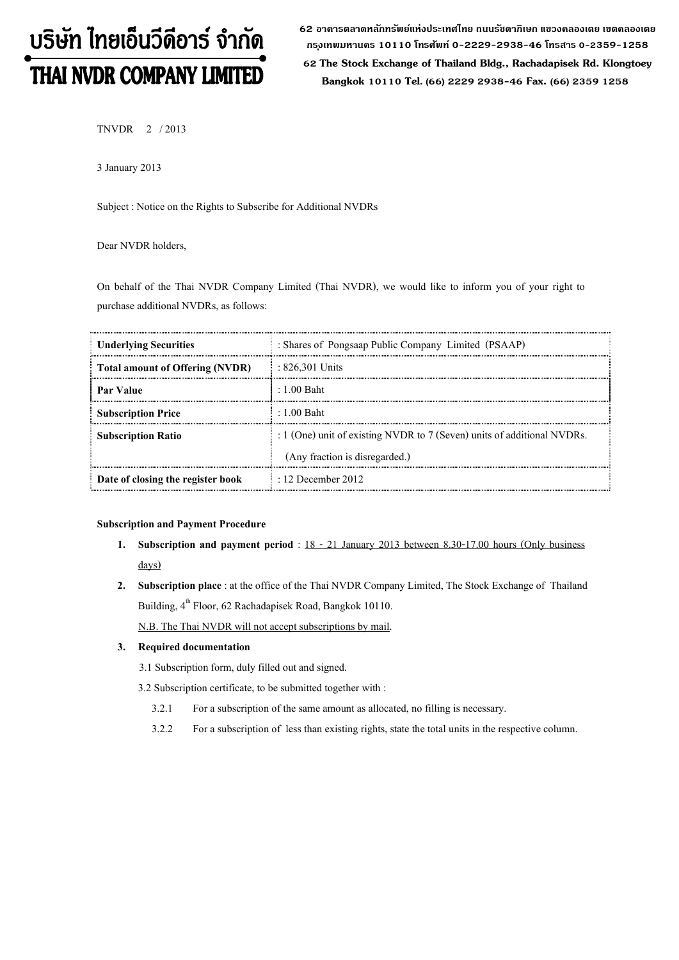# บริษัท ไทยเอ็นวีดีอาร์ จำกัด THAI NVDR COMPANY LIMITED

**62 อาคารตลาดหลักทรัพย์แห่งประเทศไทย ถนนรัชดาภิเษก แขวงคลองเตย เขตคลองเตย กร ุงเทพมหานคร 10110 โทรศัพท์ 0-2229-2938-46 โทรสาร 0-2359-1258**

 **62 The Stock Exchange of Thailand Bldg., Rachadapisek Rd. Klongtoey Bangkok 10110 Tel. (66) 2229 2938-46 Fax. (66) 2359 1258**

TNVDR 2 / 2013

3 January 2013

Subject : Notice on the Rights to Subscribe for Additional NVDRs

Dear NVDR holders,

On behalf of the Thai NVDR Company Limited (Thai NVDR), we would like to inform you of your right to purchase additional NVDRs, as follows:

| <b>Underlying Securities</b>           | : Shares of Pongsaap Public Company Limited (PSAAP)                     |  |
|----------------------------------------|-------------------------------------------------------------------------|--|
| <b>Total amount of Offering (NVDR)</b> | : 826.301 Units                                                         |  |
| Par Value                              | $\pm 1.00$ Baht                                                         |  |
| <b>Subscription Price</b>              | $: 1.00$ Baht                                                           |  |
| <b>Subscription Ratio</b>              | : 1 (One) unit of existing NVDR to 7 (Seven) units of additional NVDRs. |  |
|                                        | (Any fraction is disregarded.)                                          |  |
| Date of closing the register book      | $\pm 12$ December 2012                                                  |  |

## **Subscription and Payment Procedure**

- **1. Subscription and payment period** : 18 21 January 2013 between 8.30-17.00 hours (Only business days)
- **2. Subscription place** : at the office of the Thai NVDR Company Limited, The Stock Exchange of Thailand Building,  $4^{\text{th}}$  Floor, 62 Rachadapisek Road, Bangkok 10110.

N.B. The Thai NVDR will not accept subscriptions by mail.

## **3. Required documentation**

3.1 Subscription form, duly filled out and signed.

3.2 Subscription certificate, to be submitted together with :

- 3.2.1 For a subscription of the same amount as allocated, no filling is necessary.
- 3.2.2 For a subscription of less than existing rights, state the total units in the respective column.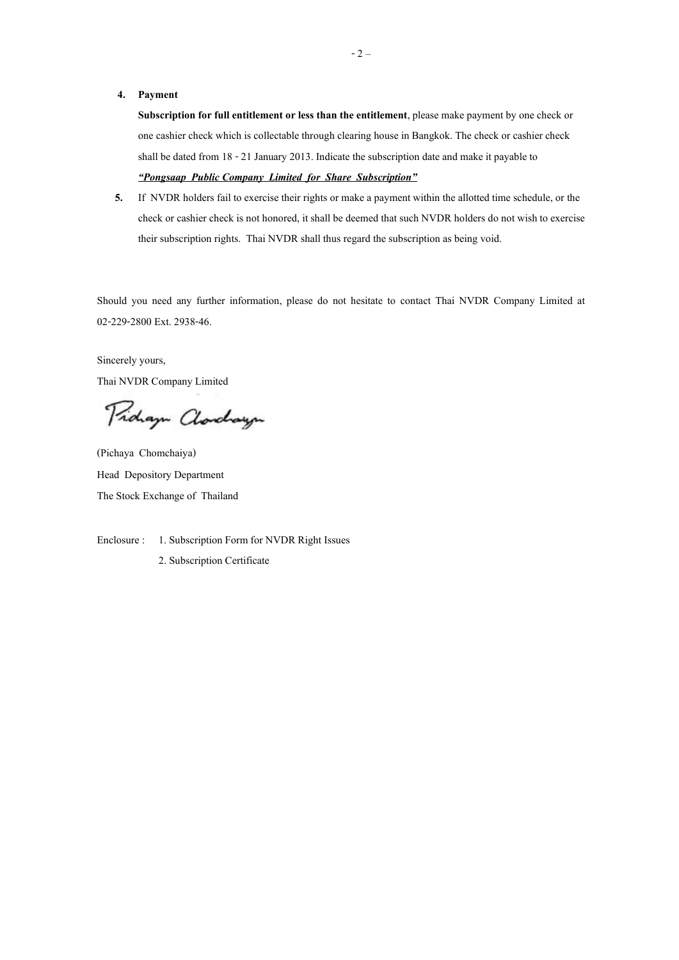## **4. Payment**

**Subscription for full entitlement or less than the entitlement**, please make payment by one check or one cashier check which is collectable through clearing house in Bangkok. The check or cashier check shall be dated from 18 - 21 January 2013. Indicate the subscription date and make it payable to *"Pongsaap Public Company Limited for Share Subscription"*

**5.** If NVDR holders fail to exercise their rights or make a payment within the allotted time schedule, or the check or cashier check is not honored, it shall be deemed that such NVDR holders do not wish to exercise their subscription rights. Thai NVDR shall thus regard the subscription as being void.

Should you need any further information, please do not hesitate to contact Thai NVDR Company Limited at 02-229-2800 Ext. 2938-46.

Sincerely yours,

Thai NVDR Company Limited

Proham Clorchayn

(Pichaya Chomchaiya) Head Depository Department The Stock Exchange of Thailand

Enclosure : 1. Subscription Form for NVDR Right Issues 2. Subscription Certificate